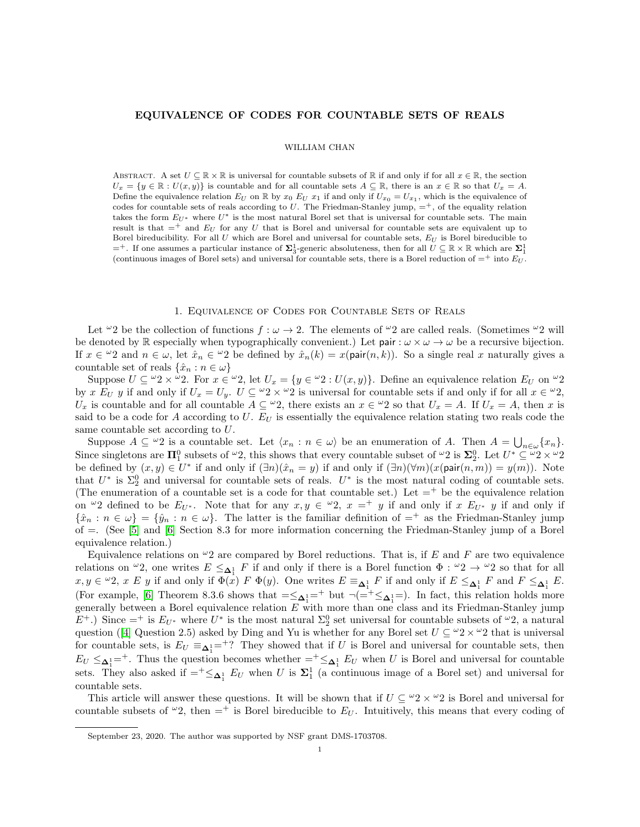## EQUIVALENCE OF CODES FOR COUNTABLE SETS OF REALS

## WILLIAM CHAN

ABSTRACT. A set  $U \subseteq \mathbb{R} \times \mathbb{R}$  is universal for countable subsets of  $\mathbb{R}$  if and only if for all  $x \in \mathbb{R}$ , the section  $U_x = \{y \in \mathbb{R} : U(x, y)\}\$ is countable and for all countable sets  $A \subseteq \mathbb{R}$ , there is an  $x \in \mathbb{R}$  so that  $U_x = A$ . Define the equivalence relation  $E_U$  on  $\mathbb R$  by  $x_0 E_U x_1$  if and only if  $U_{x_0} = U_{x_1}$ , which is the equivalence of codes for countable sets of reals according to U. The Friedman-Stanley jump,  $=$ <sup>+</sup>, of the equality relation takes the form  $E_{U^*}$  where  $U^*$  is the most natural Borel set that is universal for countable sets. The main result is that  $=$ <sup>+</sup> and  $E_U$  for any U that is Borel and universal for countable sets are equivalent up to Borel bireducibility. For all  $U$  which are Borel and universal for countable sets,  $E_U$  is Borel bireducible to  $=$ <sup>+</sup>. If one assumes a particular instance of  $\Sigma_3^1$ -generic absoluteness, then for all  $U \subseteq \mathbb{R} \times \mathbb{R}$  which are  $\Sigma_1^1$ (continuous images of Borel sets) and universal for countable sets, there is a Borel reduction of  $=$ <sup>+</sup> into  $E_U$ .

## 1. Equivalence of Codes for Countable Sets of Reals

Let  $\omega_2$  be the collection of functions  $f : \omega \to 2$ . The elements of  $\omega_2$  are called reals. (Sometimes  $\omega_2$  will be denoted by R especially when typographically convenient.) Let pair :  $\omega \times \omega \rightarrow \omega$  be a recursive bijection. If  $x \in \omega_2$  and  $n \in \omega$ , let  $\hat{x}_n \in \omega_2$  be defined by  $\hat{x}_n(k) = x(\text{pair}(n, k))$ . So a single real x naturally gives a countable set of reals  $\{\hat{x}_n : n \in \omega\}$ 

Suppose  $U \subseteq \omega_2 \times \omega_2$ . For  $x \in \omega_2$ , let  $U_x = \{y \in \omega_2 : U(x, y)\}$ . Define an equivalence relation  $E_U$  on  $\omega_2$ by x  $E_U$  y if and only if  $U_x = U_y$ .  $U \subseteq {}^{\omega}2 \times {}^{\omega}2$  is universal for countable sets if and only if for all  $x \in {}^{\omega}2$ ,  $U_x$  is countable and for all countable  $A \subseteq \omega_2$ , there exists an  $x \in \omega_2$  so that  $U_x = A$ . If  $U_x = A$ , then x is said to be a code for  $A$  according to  $U$ .  $E_U$  is essentially the equivalence relation stating two reals code the same countable set according to U.

Suppose  $A \subseteq \omega_2$  is a countable set. Let  $\langle x_n : n \in \omega \rangle$  be an enumeration of A. Then  $A = \bigcup_{n \in \omega} \{x_n\}.$ Since singletons are  $\Pi_1^0$  subsets of  $\omega_2$ , this shows that every countable subset of  $\omega_2$  is  $\Sigma_2^0$ . Let  $U^* \subseteq \omega_2 \times \omega_2$ be defined by  $(x, y) \in U^*$  if and only if  $(\exists n)(\hat{x}_n = y)$  if and only if  $(\exists n)(\forall m)(x(\text{pair}(n, m)) = y(m))$ . Note that  $U^*$  is  $\Sigma_2^0$  and universal for countable sets of reals.  $U^*$  is the most natural coding of countable sets. (The enumeration of a countable set is a code for that countable set.) Let  $=$ <sup>+</sup> be the equivalence relation on  $\omega_2$  defined to be  $E_{U^*}$ . Note that for any  $x, y \in \omega_2$ ,  $x =^+ y$  if and only if  $x E_{U^*} y$  if and only if  $\{\hat{x}_n : n \in \omega\} = \{\hat{y}_n : n \in \omega\}$ . The latter is the familiar definition of  $=^+$  as the Friedman-Stanley jump of =. (See [\[5\]](#page-7-0) and [\[6\]](#page-7-1) Section 8.3 for more information concerning the Friedman-Stanley jump of a Borel equivalence relation.)

Equivalence relations on  $\omega_2$  are compared by Borel reductions. That is, if E and F are two equivalence relations on  $\omega_2$ , one writes  $E \leq_{\Delta_1^1} F$  if and only if there is a Borel function  $\Phi : \omega_2 \to \omega_2$  so that for all  $x, y \in {}^{\omega}2$ ,  $x \ E \ y$  if and only if  $\Phi(x) \ F \ \Phi(y)$ . One writes  $E \equiv_{\Delta_1^1} F$  if and only if  $E \leq_{\Delta_1^1} F$  and  $F \leq_{\Delta_1^1} E$ . (For example, [\[6\]](#page-7-1) Theorem 8.3.6 shows that  $=\leq_{\Delta_1^1} =^+$  but  $\neg (=^+ \leq_{\Delta_1^1} =)$ . In fact, this relation holds more generally between a Borel equivalence relation  $E$  with more than one class and its Friedman-Stanley jump  $E^+$ .) Since =<sup>+</sup> is  $E_{U^*}$  where  $U^*$  is the most natural  $\Sigma_2^0$  set universal for countable subsets of  $\omega_2$ , a natural question ([\[4\]](#page-7-2) Question 2.5) asked by Ding and Yu is whether for any Borel set  $U \subseteq {}^{\omega}2 \times {}^{\omega}2$  that is universal for countable sets, is  $E_U \equiv_{\Delta_1^1} =^2$ ? They showed that if U is Borel and universal for countable sets, then  $E_U \leq \Delta_1^{1} =^+$ . Thus the question becomes whether  $=^+ \leq \Delta_1^{1}$  E<sub>U</sub> when U is Borel and universal for countable sets. They also asked if  $=^+\leq_{\pmb{\Delta}^1_1} E_U$  when U is  $\pmb{\Sigma}^1_1$  (a continuous image of a Borel set) and universal for countable sets.

This article will answer these questions. It will be shown that if  $U \subseteq {}^{\omega}2 \times {}^{\omega}2$  is Borel and universal for countable subsets of  $\omega_2$ , then  $=$  is Borel bireducible to  $E_U$ . Intuitively, this means that every coding of

September 23, 2020. The author was supported by NSF grant DMS-1703708.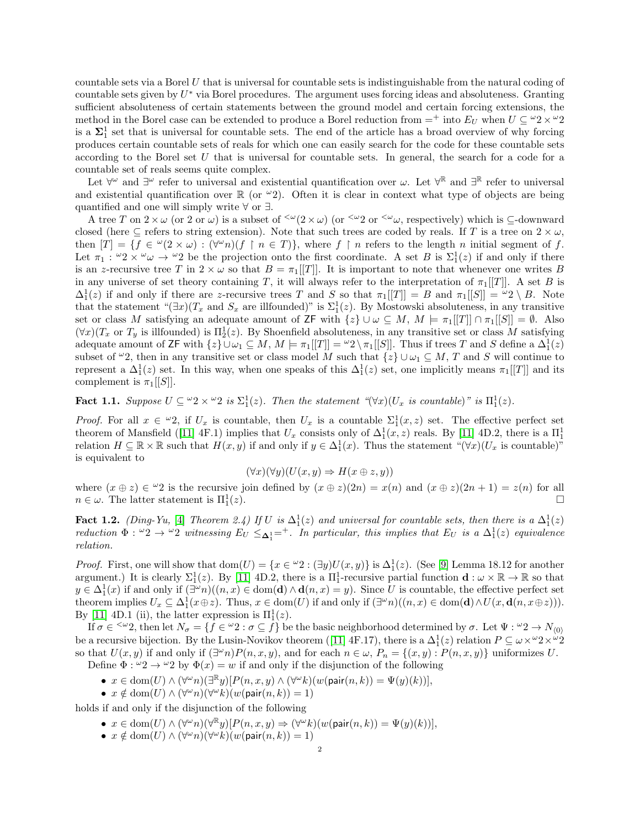countable sets via a Borel U that is universal for countable sets is indistinguishable from the natural coding of countable sets given by  $U^*$  via Borel procedures. The argument uses forcing ideas and absoluteness. Granting sufficient absoluteness of certain statements between the ground model and certain forcing extensions, the method in the Borel case can be extended to produce a Borel reduction from  $=$ <sup>+</sup> into  $E_U$  when  $U \subseteq {}^{\omega}2 \times {}^{\omega}2$ is a  $\Sigma_1^1$  set that is universal for countable sets. The end of the article has a broad overview of why forcing produces certain countable sets of reals for which one can easily search for the code for these countable sets according to the Borel set U that is universal for countable sets. In general, the search for a code for a countable set of reals seems quite complex.

Let  $\forall^{\omega}$  and  $\exists^{\omega}$  refer to universal and existential quantification over  $\omega$ . Let  $\forall^{\mathbb{R}}$  and  $\exists^{\mathbb{R}}$  refer to universal and existential quantification over  $\mathbb R$  (or  $\omega_2$ ). Often it is clear in context what type of objects are being quantified and one will simply write ∀ or ∃.

A tree T on  $2 \times \omega$  (or 2 or  $\omega$ ) is a subset of  $\omega(2 \times \omega)$  (or  $\omega(2 \times \omega)$ , respectively) which is  $\subseteq$ -downward closed (here  $\subseteq$  refers to string extension). Note that such trees are coded by reals. If T is a tree on  $2 \times \omega$ , then  $|T| = \{f \in {}^{\omega}(2 \times \omega) : (\forall^{\omega}n)(f \restriction n \in T)\}\$ , where  $f \restriction n$  refers to the length n initial segment of f. Let  $\pi_1$ :  $\omega_2 \times \omega_1 \rightarrow \omega_2$  be the projection onto the first coordinate. A set B is  $\Sigma_1^1(z)$  if and only if there is an z-recursive tree T in  $2 \times \omega$  so that  $B = \pi_1[[T]]$ . It is important to note that whenever one writes B in any universe of set theory containing T, it will always refer to the interpretation of  $\pi_1[[T]]$ . A set B is  $\Delta_1^1(z)$  if and only if there are z-recursive trees T and S so that  $\pi_1[[T]] = B$  and  $\pi_1[[S]] = \omega_2 \setminus B$ . Note that the statement " $(\exists x)(T_x$  and  $S_x$  are illfounded)" is  $\Sigma_1^1(z)$ . By Mostowski absoluteness, in any transitive set or class M satisfying an adequate amount of ZF with  $\{z\} \cup \omega \subseteq M$ ,  $M \models \pi_1[[T]] \cap \pi_1[[S]] = \emptyset$ . Also  $(\forall x)(T_x \text{ or } T_y \text{ is illfounded})$  is  $\Pi_2^1(z)$ . By Shoenfield absoluteness, in any transitive set or class M satisfying adequate amount of ZF with  $\{z\} \cup \omega_1 \subseteq M$ ,  $M \models \pi_1[[T]] = "2 \setminus \pi_1[[S]]$ . Thus if trees T and S define a  $\Delta_1^1(z)$ subset of  $\omega_2$ , then in any transitive set or class model M such that  $\{z\} \cup \omega_1 \subseteq M$ , T and S will continue to represent a  $\Delta_1^1(z)$  set. In this way, when one speaks of this  $\Delta_1^1(z)$  set, one implicitly means  $\pi_1[[T]]$  and its complement is  $\pi_1[[S]]$ .

<span id="page-1-0"></span>**Fact 1.1.** Suppose  $U \subseteq {}^{\omega}2 \times {}^{\omega}2$  is  $\Sigma_1^1(z)$ . Then the statement " $(\forall x)(U_x$  is countable)" is  $\Pi_1^1(z)$ .

*Proof.* For all  $x \in \omega_2$ , if  $U_x$  is countable, then  $U_x$  is a countable  $\Sigma_1^1(x, z)$  set. The effective perfect set theorem of Mansfield ([\[11\]](#page-7-3) 4F.1) implies that  $U_x$  consists only of  $\Delta_1^1(x, z)$  reals. By [11] 4D.2, there is a  $\Pi_1^1$ relation  $H \subseteq \mathbb{R} \times \mathbb{R}$  such that  $H(x, y)$  if and only if  $y \in \Delta_1^1(x)$ . Thus the statement " $(\forall x)(U_x$  is countable)" is equivalent to

$$
(\forall x)(\forall y)(U(x, y) \Rightarrow H(x \oplus z, y))
$$

where  $(x \oplus z) \in {}^{\omega}2$  is the recursive join defined by  $(x \oplus z)(2n) = x(n)$  and  $(x \oplus z)(2n + 1) = z(n)$  for all  $n \in \omega$ . The latter statement is  $\Pi_1^1$  $(z).$ 

<span id="page-1-1"></span>Fact 1.2. (Ding-Yu, [\[4\]](#page-7-2) Theorem 2.4) If U is  $\Delta_1^1(z)$  and universal for countable sets, then there is a  $\Delta_1^1(z)$ reduction  $\Phi: \omega_2 \to \omega_2$  witnessing  $E_U \leq_{\Delta_1^1} =^+$ . In particular, this implies that  $E_U$  is a  $\Delta_1^1(z)$  equivalence relation.

*Proof.* First, one will show that  $dom(U) = \{x \in {}^{\omega}2 : (\exists y)U(x, y)\}$  is  $\Delta_1^1(z)$ . (See [\[9\]](#page-7-4) Lemma 18.12 for another argument.) It is clearly  $\Sigma_1^1(z)$ . By [\[11\]](#page-7-3) 4D.2, there is a  $\Pi_1^1$ -recursive partial function  $\mathbf{d}: \omega \times \mathbb{R} \to \mathbb{R}$  so that  $y \in \Delta_1^1(x)$  if and only if  $(\exists^{\omega} n)((n, x) \in \text{dom}(\mathbf{d}) \wedge \mathbf{d}(n, x) = y)$ . Since U is countable, the effective perfect set theorem implies  $U_x \subseteq \Delta_1^1(x \oplus z)$ . Thus,  $x \in \text{dom}(U)$  if and only if  $(\exists^{\omega} n)((n, x) \in \text{dom}(\mathbf{d}) \wedge U(x, \mathbf{d}(n, x \oplus z)))$ . By [\[11\]](#page-7-3) 4D.1 (ii), the latter expression is  $\Pi_1^1(z)$ .

If  $\sigma \in \langle \omega_2 \rangle$ , then let  $N_{\sigma} = \{f \in \omega_2 : \sigma \subseteq f\}$  be the basic neighborhood determined by  $\sigma$ . Let  $\Psi : \omega_2 \to N_{(0)}$ be a recursive bijection. By the Lusin-Novikov theorem ([\[11\]](#page-7-3)  $4F.17$ ), there is a  $\Delta_1^1(z)$  relation  $P \subseteq \omega \times \omega_2 \times \omega_2$ so that  $U(x, y)$  if and only if  $(\exists^{\omega} n) P(n, x, y)$ , and for each  $n \in \omega$ ,  $P_n = \{(x, y) : P(n, x, y)\}$  uniformizes U.

Define  $\Phi: \omega_2 \to \omega_2$  by  $\Phi(x) = w$  if and only if the disjunction of the following

- $x \in \text{dom}(U) \land (\forall^{\omega} n)(\exists^{\mathbb{R}} y)[P(n,x,y) \land (\forall^{\omega} k)(w(\text{pair}(n,k))) = \Psi(y)(k))],$
- $x \notin \text{dom}(U) \land (\forall^{\omega} n)(\forall^{\omega} k)(w(\text{pair}(n, k)) = 1)$

holds if and only if the disjunction of the following

- $x \in \text{dom}(U) \land (\forall^{\omega} n)(\forall^{\mathbb{R}} y)[P(n,x,y) \Rightarrow (\forall^{\omega} k)(w(\text{pair}(n,k))) = \Psi(y)(k))],$
- $x \notin \text{dom}(U) \land (\forall^{\omega} n)(\forall^{\omega} k)(w(\text{pair}(n, k)) = 1)$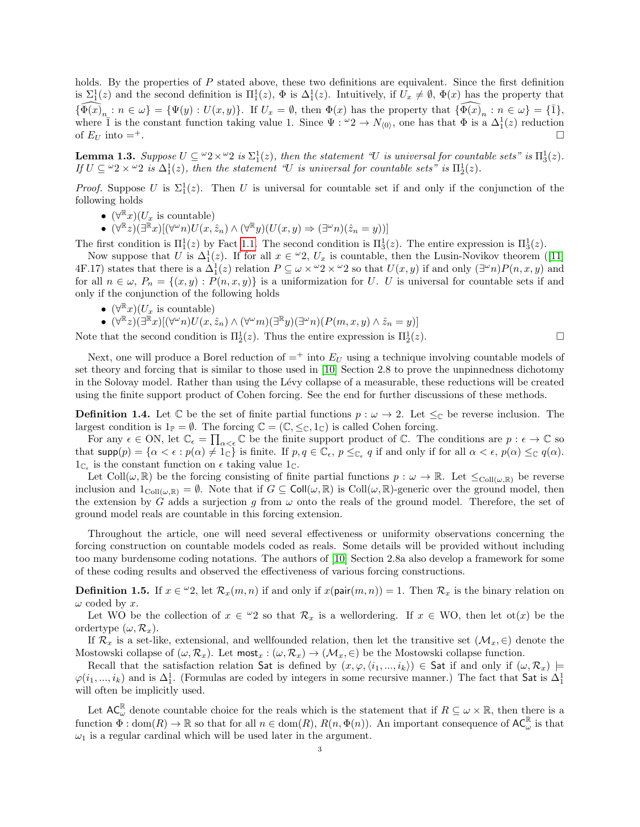holds. By the properties of  $P$  stated above, these two definitions are equivalent. Since the first definition is  $\Sigma_1^1(z)$  and the second definition is  $\Pi_1^1(z)$ ,  $\Phi$  is  $\Delta_1^1(z)$ . Intuitively, if  $U_x \neq \emptyset$ ,  $\Phi(x)$  has the property that  ${\widehat{\Phi(x)}_n : n \in \omega} = {\Psi(y) : U(x, y)}$ . If  $U_x = \emptyset$ , then  $\Phi(x)$  has the property that  ${\widehat{\Phi(x)}_n : n \in \omega} = {\overline{1}}$ , where  $\bar{1}$  is the constant function taking value 1. Since  $\Psi: \omega_2 \to N_{(0)}$ , one has that  $\bar{\Phi}$  is a  $\Delta_1^1(z)$  reduction of  $E_U$  into  $=^+$ .

<span id="page-2-0"></span>**Lemma 1.3.** Suppose  $U \subseteq {}^{\omega}2 \times {}^{\omega}2$  is  $\Sigma_1^1(z)$ , then the statement "U is universal for countable sets" is  $\Pi_3^1(z)$ . If  $U \subseteq \omega_2 \times \omega_2$  is  $\Delta_1^1(z)$ , then the statement "U is universal for countable sets" is  $\Pi_2^1(z)$ .

*Proof.* Suppose U is  $\Sigma_1^1(z)$ . Then U is universal for countable set if and only if the conjunction of the following holds

- $(\forall^{\mathbb{R}} x)(U_x \text{ is countable})$
- $\bullet$   $(\forall \mathbb{R} z)(\exists \mathbb{R} x)[(\forall \omega n)U(x, \hat{z}_n) \wedge (\forall \mathbb{R} y)(U(x, y) \Rightarrow (\exists \omega n)(\hat{z}_n = y))]$

The first condition is  $\Pi_1^1(z)$  by Fact [1.1.](#page-1-0) The second condition is  $\Pi_3^1(z)$ . The entire expression is  $\Pi_3^1(z)$ .

Now suppose that U is  $\Delta_1^1(z)$ . If for all  $x \in \mathcal{L}_2$ ,  $U_x$  is countable, then the Lusin-Novikov theorem ([\[11\]](#page-7-3) 4F.17) states that there is a  $\Delta_1^1(z)$  relation  $P \subseteq \omega \times \omega_2 \times \omega_2$  so that  $U(x, y)$  if and only  $(\exists^{\omega} n)P(n, x, y)$  and for all  $n \in \omega$ ,  $P_n = \{(x, y) : P(n, x, y)\}$  is a uniformization for U. U is universal for countable sets if and only if the conjunction of the following holds

- $(\forall^{\mathbb{R}} x)(U_x$  is countable)
- $\bullet \ \ (\forall^{\mathbb{R}} z)(\exists^{\mathbb{R}} x)[(\forall^{\omega} n)U(x,\hat{z}_n) \wedge (\forall^{\omega} m)(\exists^{\mathbb{R}} y)(\exists^{\omega} n)(P(m,x,y) \wedge \hat{z}_n=y)]$

Note that the second condition is  $\Pi_2^1(z)$ . Thus the entire expression is  $\Pi_2^1(z)$ .

Next, one will produce a Borel reduction of  $=$  + into  $E_U$  using a technique involving countable models of set theory and forcing that is similar to those used in [\[10\]](#page-7-5) Section 2.8 to prove the unpinnedness dichotomy in the Solovay model. Rather than using the Lévy collapse of a measurable, these reductions will be created using the finite support product of Cohen forcing. See the end for further discussions of these methods.

**Definition 1.4.** Let  $\mathbb C$  be the set of finite partial functions  $p : \omega \to 2$ . Let  $\leq_{\mathbb C}$  be reverse inclusion. The largest condition is  $1_{\mathbb{P}} = \emptyset$ . The forcing  $\mathbb{C} = (\mathbb{C}, \leq_{\mathbb{C}}, 1_{\mathbb{C}})$  is called Cohen forcing.

For any  $\epsilon \in \text{ON}$ , let  $\mathbb{C}_{\epsilon} = \prod_{\alpha<\epsilon} \mathbb{C}$  be the finite support product of  $\mathbb{C}$ . The conditions are  $p: \epsilon \to \mathbb{C}$  so that supp $(p) = \{\alpha < \epsilon : p(\alpha) \neq 1_{\mathbb{C}}\}$  is finite. If  $p, q \in \mathbb{C}_{\epsilon}, p \leq_{\mathbb{C}_{\epsilon}} q$  if and only if for all  $\alpha < \epsilon, p(\alpha) \leq_{\mathbb{C}} q(\alpha)$ .  $1_{\mathbb{C}_{\epsilon}}$  is the constant function on  $\epsilon$  taking value  $1_{\mathbb{C}}$ .

Let Coll $(\omega, \mathbb{R})$  be the forcing consisting of finite partial functions  $p : \omega \to \mathbb{R}$ . Let  $\leq_{\text{Coll}(\omega, \mathbb{R})}$  be reverse inclusion and  $1_{\text{Coll}(\omega,\mathbb{R})} = \emptyset$ . Note that if  $G \subseteq \text{Coll}(\omega,\mathbb{R})$  is  $\text{Coll}(\omega,\mathbb{R})$ -generic over the ground model, then the extension by G adds a surjection q from  $\omega$  onto the reals of the ground model. Therefore, the set of ground model reals are countable in this forcing extension.

Throughout the article, one will need several effectiveness or uniformity observations concerning the forcing construction on countable models coded as reals. Some details will be provided without including too many burdensome coding notations. The authors of [\[10\]](#page-7-5) Section 2.8a also develop a framework for some of these coding results and observed the effectiveness of various forcing constructions.

**Definition 1.5.** If  $x \in \mathcal{L}^2$ , let  $\mathcal{R}_x(m,n)$  if and only if  $x(\text{pair}(m,n)) = 1$ . Then  $\mathcal{R}_x$  is the binary relation on  $\omega$  coded by x.

Let WO be the collection of  $x \in \mathcal{L}_2$  so that  $\mathcal{R}_x$  is a wellordering. If  $x \in WO$ , then let ot(x) be the ordertype  $(\omega, \mathcal{R}_r)$ .

If  $\mathcal{R}_x$  is a set-like, extensional, and wellfounded relation, then let the transitive set  $(\mathcal{M}_x, \in)$  denote the Mostowski collapse of  $(\omega, \mathcal{R}_x)$ . Let most<sub>x</sub> :  $(\omega, \mathcal{R}_x) \to (\mathcal{M}_x, \in)$  be the Mostowski collapse function.

Recall that the satisfaction relation Sat is defined by  $(x, \varphi, \langle i_1, ..., i_k \rangle) \in S$ at if and only if  $(\omega, \mathcal{R}_x)$   $\models$  $\varphi(i_1,...,i_k)$  and is  $\Delta_1^1$ . (Formulas are coded by integers in some recursive manner.) The fact that Sat is  $\Delta_1^1$ will often be implicitly used.

Let  $AC_{\omega}^{\mathbb{R}}$  denote countable choice for the reals which is the statement that if  $R \subseteq \omega \times \mathbb{R}$ , then there is a function  $\tilde{\Phi}$  : dom $(R) \to \mathbb{R}$  so that for all  $n \in \text{dom}(R)$ ,  $R(n, \Phi(n))$ . An important consequence of  $AC_{\omega}^{\mathbb{R}}$  is that  $\omega_1$  is a regular cardinal which will be used later in the argument.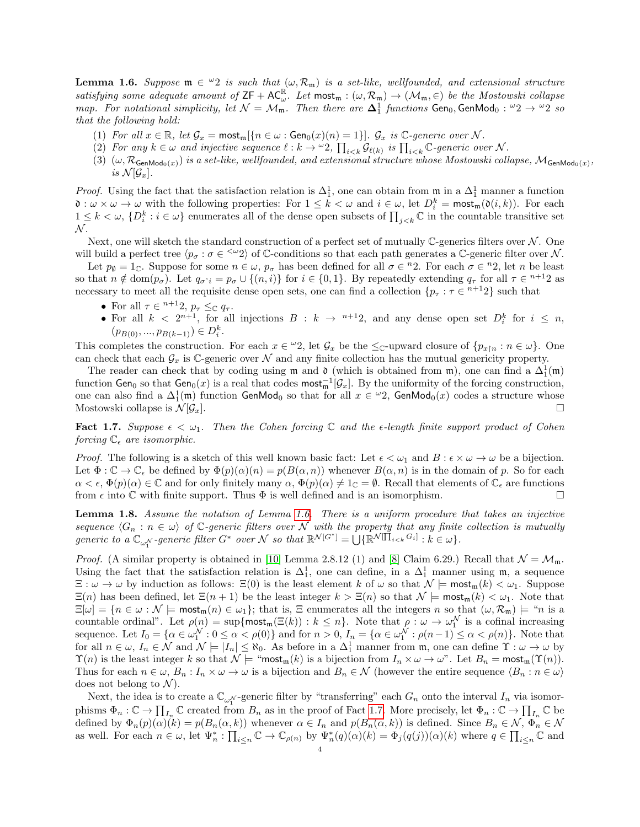<span id="page-3-0"></span>**Lemma 1.6.** Suppose  $\mathfrak{m} \in {}^{\omega}2$  is such that  $(\omega, \mathcal{R}_{\mathfrak{m}})$  is a set-like, wellfounded, and extensional structure satisfying some adequate amount of  $ZF + AC_{\omega}^{\mathbb{R}}$ . Let  $most_m : (\omega, \mathcal{R}_m) \to (\mathcal{M}_m, \in)$  be the Mostowski collapse map. For notational simplicity, let  $\mathcal{N} = \mathcal{M}_{\mathfrak{m}}$ . Then there are  $\Delta_1^1$  functions  $Gen_0, GenMod_0: \omega_2 \to \omega_2$  so that the following hold:

- (1) For all  $x \in \mathbb{R}$ , let  $\mathcal{G}_x = \text{most}_\mathfrak{m}[\{n \in \omega : \text{Gen}_0(x)(n) = 1\}]$ .  $\mathcal{G}_x$  is  $\mathbb{C}\text{-}generic over }\mathcal{N}$ .
- (2) For any  $k \in \omega$  and injective sequence  $\ell : k \to \omega^2$ ,  $\prod_{i < k} \mathcal{G}_{\ell(k)}$  is  $\prod_{i < k} \mathbb{C}$ -generic over N.
- (3)  $(\omega, \mathcal{R}_{\mathsf{GenMod}_0(x)})$  is a set-like, wellfounded, and extensional structure whose Mostowski collapse,  $\mathcal{M}_{\mathsf{GenMod}_0(x)}$ , is  $\mathcal{N}[\mathcal{G}_x]$ .

*Proof.* Using the fact that the satisfaction relation is  $\Delta_1^1$ , one can obtain from  $\mathfrak{m}$  in a  $\Delta_1^1$  manner a function  $\mathfrak{d}: \omega \times \omega \to \omega$  with the following properties: For  $1 \leq k < \omega$  and  $i \in \omega$ , let  $D_i^k = \text{most}_m(\mathfrak{d}(i,k))$ . For each  $1 \leq k < \omega$ ,  $\{D_i^k : i \in \omega\}$  enumerates all of the dense open subsets of  $\prod_{j \leq k} \mathbb{C}$  in the countable transitive set  $N$ .

Next, one will sketch the standard construction of a perfect set of mutually  $\mathbb{C}$ -generics filters over N. One will build a perfect tree  $\langle p_{\sigma} : \sigma \in \langle \omega_2 \rangle$  of C-conditions so that each path generates a C-generic filter over N.

Let  $p_{\emptyset} = 1_{\mathbb{C}}$ . Suppose for some  $n \in \omega$ ,  $p_{\sigma}$  has been defined for all  $\sigma \in {^n}2$ . For each  $\sigma \in {^n}2$ , let n be least so that  $n \notin \text{dom}(p_{\sigma})$ . Let  $q_{\sigma} \cdot i = p_{\sigma} \cup \{(n,i)\}\$ for  $i \in \{0,1\}$ . By repeatedly extending  $q_{\tau}$  for all  $\tau \in \pi+12$  as necessary to meet all the requisite dense open sets, one can find a collection  $\{p_\tau : \tau \in n+12\}$  such that

- For all  $\tau \in$  <sup>n+1</sup>2,  $p_{\tau} \leq_{\mathbb{C}} q_{\tau}$ .
- For all  $k < 2^{n+1}$ , for all injections  $B : k \to n+1$ , and any dense open set  $D_i^k$  for  $i \leq n$ ,  $(p_{B(0)},...,p_{B(k-1)}) \in D_i^k$ .

This completes the construction. For each  $x \in \omega_2$ , let  $\mathcal{G}_x$  be the  $\leq_{\mathbb{C}}$ -upward closure of  $\{p_{x\upharpoonright n} : n \in \omega\}$ . One can check that each  $\mathcal{G}_x$  is C-generic over N and any finite collection has the mutual genericity property.

The reader can check that by coding using  $\mathfrak m$  and  $\mathfrak d$  (which is obtained from  $\mathfrak m$ ), one can find a  $\Delta_1^1(\mathfrak m)$ function  $\mathsf{Gen}_0$  so that  $\mathsf{Gen}_0(x)$  is a real that codes  $\mathsf{most}_m^{-1}[\mathcal{G}_x]$ . By the uniformity of the forcing construction, one can also find a  $\Delta_1^1(\mathfrak{m})$  function  $\mathsf{GenMod}_0$  so that for all  $x \in {}^{\omega}2$ ,  $\mathsf{GenMod}_0(x)$  codes a structure whose Mostowski collapse is  $\mathcal{N}[\mathcal{G}_x]$ .

<span id="page-3-1"></span>**Fact 1.7.** Suppose  $\epsilon < \omega_1$ . Then the Cohen forcing C and the  $\epsilon$ -length finite support product of Cohen forcing  $\mathbb{C}_{\epsilon}$  are isomorphic.

*Proof.* The following is a sketch of this well known basic fact: Let  $\epsilon < \omega_1$  and  $B : \epsilon \times \omega \to \omega$  be a bijection. Let  $\Phi: \mathbb{C} \to \mathbb{C}_{\epsilon}$  be defined by  $\Phi(p)(\alpha)(n) = p(B(\alpha, n))$  whenever  $B(\alpha, n)$  is in the domain of p. So for each  $\alpha < \epsilon$ ,  $\Phi(p)(\alpha) \in \mathbb{C}$  and for only finitely many  $\alpha$ ,  $\Phi(p)(\alpha) \neq 1_{\mathbb{C}} = \emptyset$ . Recall that elements of  $\mathbb{C}_{\epsilon}$  are functions from  $\epsilon$  into  $\mathbb C$  with finite support. Thus  $\Phi$  is well defined and is an isomorphism.

<span id="page-3-2"></span>Lemma 1.8. Assume the notation of Lemma [1.6.](#page-3-0) There is a uniform procedure that takes an injective sequence  $\langle G_n : n \in \omega \rangle$  of C-generic filters over N with the property that any finite collection is mutually generic to a  $\mathbb{C}_{\omega_1^{\mathcal{N}}}$ -generic filter  $G^*$  over  $\mathcal{N}$  so that  $\mathbb{R}^{\mathcal{N}[G^*]} = \bigcup \{ \mathbb{R}^{\mathcal{N}[\prod_{i \leq k} G_i]} : k \in \omega \}.$ 

*Proof.* (A similar property is obtained in [\[10\]](#page-7-5) Lemma 2.8.12 (1) and [\[8\]](#page-7-6) Claim 6.29.) Recall that  $\mathcal{N} = \mathcal{M}_{\mathfrak{m}}$ . Using the fact that the satisfaction relation is  $\Delta_1^1$ , one can define, in a  $\Delta_1^1$  manner using m, a sequence  $\Xi : \omega \to \omega$  by induction as follows:  $\Xi(0)$  is the least element k of  $\omega$  so that  $\mathcal{N} \models \text{most}_{\mathfrak{m}}(k) < \omega_1$ . Suppose  $\Xi(n)$  has been defined, let  $\Xi(n+1)$  be the least integer  $k > \Xi(n)$  so that  $\mathcal{N} \models \text{most}_{\mathfrak{m}}(k) < \omega_1$ . Note that  $\Xi[\omega] = \{n \in \omega : \mathcal{N} \models \text{most}_m(n) \in \omega_1\};$  that is,  $\Xi$  enumerates all the integers n so that  $(\omega, \mathcal{R}_m) \models$  "n is a countable ordinal". Let  $\rho(n) = \sup\{\text{most}_m(\Xi(k)) : k \leq n\}$ . Note that  $\rho: \omega \to \omega_1^{\mathcal{N}}$  is a cofinal increasing sequence. Let  $I_0 = \{ \alpha \in \omega_1^{\mathcal{N}} : 0 \leq \alpha < \rho(0) \}$  and for  $n > 0$ ,  $I_n = \{ \alpha \in \omega_1^{\mathcal{N}} : \rho(n-1) \leq \alpha < \rho(n) \}$ . Note that for all  $n \in \omega$ ,  $I_n \in \mathcal{N}$  and  $\mathcal{N} \models |I_n| \leq \aleph_0$ . As before in a  $\Delta_1^1$  manner from  $\mathfrak{m}$ , one can define  $\Upsilon : \omega \to \omega$  by  $\Upsilon(n)$  is the least integer k so that  $\mathcal{N} \models$  "most<sub>m</sub> $(k)$  is a bijection from  $I_n \times \omega \rightarrow \omega$ ". Let  $B_n = \text{most}_{\mathfrak{m}}(\Upsilon(n))$ . Thus for each  $n \in \omega$ ,  $B_n : I_n \times \omega \to \omega$  is a bijection and  $B_n \in \mathcal{N}$  (however the entire sequence  $\langle B_n : n \in \omega \rangle$ ) does not belong to  $\mathcal{N}$ ).

Next, the idea is to create a  $\mathbb{C}_{\omega_1^N}$ -generic filter by "transferring" each  $G_n$  onto the interval  $I_n$  via isomorphisms  $\Phi_n : \mathbb{C} \to \prod_{I_n} \mathbb{C}$  created from  $B_n$  as in the proof of Fact [1.7.](#page-3-1) More precisely, let  $\Phi_n : \mathbb{C} \to \prod_{I_n} \mathbb{C}$  be defined by  $\Phi_n(p)(\alpha)(k) = p(B_n(\alpha, k))$  whenever  $\alpha \in I_n$  and  $p(B_n(\alpha, k))$  is defined. Since  $B_n \in \mathcal{N}$ ,  $\Phi_n \in \mathcal{N}$ as well. For each  $n \in \omega$ , let  $\Psi_n^* : \prod_{i \leq n} \mathbb{C} \to \mathbb{C}_{\rho(n)}$  by  $\Psi_n^*(q)(\alpha)(k) = \Phi_j(q(j))(\alpha)(k)$  where  $q \in \prod_{i \leq n} \mathbb{C}$  and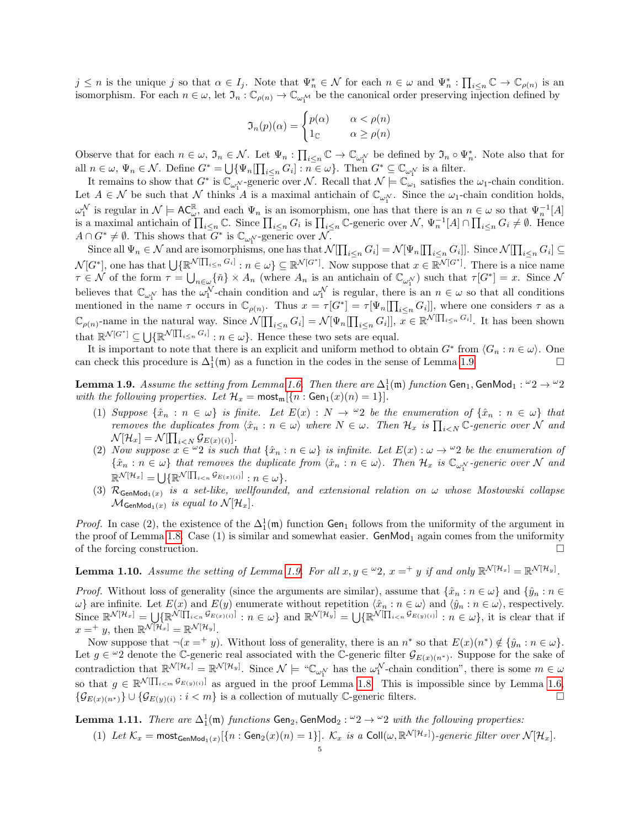$j \leq n$  is the unique j so that  $\alpha \in I_j$ . Note that  $\Psi_n^* \in \mathcal{N}$  for each  $n \in \omega$  and  $\Psi_n^* : \prod_{i \leq n} \mathbb{C} \to \mathbb{C}_{\rho(n)}$  is an isomorphism. For each  $n \in \omega$ , let  $\mathfrak{I}_n : \mathbb{C}_{\rho(n)} \to \mathbb{C}_{\omega_1^M}$  be the canonical order preserving injection defined by

$$
\mathfrak{I}_n(p)(\alpha) = \begin{cases} p(\alpha) & \alpha < \rho(n) \\ 1_{\mathbb{C}} & \alpha \ge \rho(n) \end{cases}
$$

Observe that for each  $n \in \omega$ ,  $\mathfrak{I}_n \in \mathcal{N}$ . Let  $\Psi_n : \prod_{i \leq n} \mathbb{C} \to \mathbb{C}_{\omega_1^{\mathcal{N}}}$  be defined by  $\mathfrak{I}_n \circ \Psi_n^*$ . Note also that for all  $n \in \omega, \Psi_n \in \mathcal{N}$ . Define  $G^* = \bigcup \{ \Psi_n \left[ \prod_{i \leq n} G_i \right] : n \in \omega \}$ . Then  $G^* \subseteq \mathbb{C}_{\omega_1^{\mathcal{N}}}$  is a filter.

It remains to show that  $G^*$  is  $\mathbb{C}_{\omega_1^{\mathcal{N}}}$ -generic over N. Recall that  $\mathcal{N} \models \mathbb{C}_{\omega_1}$  satisfies the  $\omega_1$ -chain condition. Let  $A \in \mathcal{N}$  be such that  $\mathcal N$  thinks A is a maximal antichain of  $\mathbb{C}_{\omega_1^{\mathcal{N}}}$ . Since the  $\omega_1$ -chain condition holds,  $\omega_1^{\mathcal{N}}$  is regular in  $\mathcal{N} \models AC_{\omega}^{\mathbb{R}}$ , and each  $\Psi_n$  is an isomorphism, one has that there is an  $n \in \omega$  so that  $\Psi_n^{-1}[A]$ is a maximal antichain of  $\prod_{i\leq n}\mathbb{C}$ . Since  $\prod_{i\leq n}G_i$  is  $\prod_{i\leq n}\mathbb{C}$ -generic over  $\mathcal{N}, \Psi_n^{-1}[A]\cap\prod_{i\leq n}G_i\neq\emptyset$ . Hence  $A \cap G^* \neq \emptyset$ . This shows that  $G^*$  is  $\mathbb{C}_{\omega_1^{\mathcal{N}}}$ -generic over  $\mathcal{N}$ .

Since all  $\Psi_n \in \mathcal{N}$  and are isomorphisms, one has that  $\mathcal{N}[\prod_{i \leq n} G_i] = \mathcal{N}[\Psi_n[\prod_{i \leq n} G_i]]$ . Since  $\mathcal{N}[\prod_{i \leq n} G_i] \subseteq$  $\mathcal{N}[G^*],$  one has that  $\bigcup \{ \mathbb{R}^{\mathcal{N}[\Pi_{i\leq n} G_i]} : n \in \omega \} \subseteq \mathbb{R}^{\mathcal{N}[G^*]}$ . Now suppose that  $x \in \mathbb{R}^{\mathcal{N}[G^*]}$ . There is a nice name  $\tau \in \mathcal{N}$  of the form  $\tau = \bigcup_{n \in \omega} {\{\tilde{n}\}\times A_n}$  (where  $A_n$  is an antichain of  $\mathbb{C}_{\omega_1^{\mathcal{N}}}\}$  such that  $\tau[G^*]=x$ . Since  $\mathcal{N}$ believes that  $\mathbb{C}_{\omega_1^{\mathcal{N}}}$  has the  $\omega_1^{\mathcal{N}}$ -chain condition and  $\omega_1^{\mathcal{N}}$  is regular, there is an  $n \in \omega$  so that all conditions mentioned in the name  $\tau$  occurs in  $\mathbb{C}_{\rho(n)}$ . Thus  $x = \tau[G^*] = \tau[\Psi_n[\prod_{i \leq n} G_i]]$ , where one considers  $\tau$  as a  $\mathbb{C}_{\rho(n)}$ -name in the natural way. Since  $\mathcal{N}[\prod_{i\leq n} G_i] = \mathcal{N}[\Psi_n[\prod_{i\leq n} G_i]]$ ,  $x \in \mathbb{R}^{\mathcal{N}[\prod_{i\leq n} G_i]}$ . It has been shown that  $\mathbb{R}^{\mathcal{N}[G^*]} \subseteq \bigcup \{ \mathbb{R}^{\mathcal{N}[\prod_{i \leq n} G_i]} : n \in \omega \}.$  Hence these two sets are equal.

It is important to note that there is an explicit and uniform method to obtain  $G^*$  from  $\langle G_n : n \in \omega \rangle$ . One can check this procedure is  $\Delta_1^1(\mathfrak{m})$  as a function in the codes in the sense of Lemma [1.9.](#page-4-0)

<span id="page-4-0"></span>**Lemma 1.9.** Assume the setting from Lemma [1.6.](#page-3-0) Then there are  $\Delta^1_1(\mathfrak{m})$  function Gen<sub>1</sub>, GenMod<sub>1</sub>:  $^\omega 2\to {}^\omega 2$ with the following properties. Let  $\mathcal{H}_x = \text{most}_m[\{n : \text{Gen}_1(x)(n) = 1\}].$ 

- (1) Suppose  $\{\hat{x}_n : n \in \omega\}$  is finite. Let  $E(x) : N \to \omega^2$  be the enumeration of  $\{\hat{x}_n : n \in \omega\}$  that removes the duplicates from  $\langle \hat{x}_n : n \in \omega \rangle$  where  $N \in \omega$ . Then  $\mathcal{H}_x$  is  $\prod_{i \leq N} \mathbb{C}$ -generic over  $\hat{\mathcal{N}}$  and  $\mathcal{N}[\mathcal{H}_x] = \mathcal{N}[\prod_{i \lt N} \mathcal{G}_{E(x)(i)}].$
- (2) Now suppose  $x \in \mathcal{L}$  is such that  $\{\hat{x}_n : n \in \omega\}$  is infinite. Let  $E(x) : \omega \to \mathcal{L}$  be the enumeration of  $\{\hat{x}_n : n \in \omega\}$  that removes the duplicate from  $\langle \hat{x}_n : n \in \omega \rangle$ . Then  $\mathcal{H}_x$  is  $\mathbb{C}_{\omega_1^N}$ -generic over N and  $\mathbb{R}^{\mathcal{N}[\mathcal{H}_x]} = \bigcup \{ \mathbb{R}^{\mathcal{N}}[\Pi_{i$
- (3)  $\mathcal{R}_{\mathsf{GenMod}_1(x)}$  is a set-like, wellfounded, and extensional relation on  $\omega$  whose Mostowski collapse  $\mathcal{M}_{\mathsf{GenMod}_1(x)}$  is equal to  $\mathcal{N}[\mathcal{H}_x].$

*Proof.* In case (2), the existence of the  $\Delta_1^1(\mathfrak{m})$  function Gen<sub>1</sub> follows from the uniformity of the argument in the proof of Lemma [1.8.](#page-3-2) Case  $(1)$  is similar and somewhat easier. GenMod<sub>1</sub> again comes from the uniformity of the forcing construction.

<span id="page-4-1"></span>**Lemma 1.10.** Assume the setting of Lemma [1.9.](#page-4-0) For all  $x, y \in \omega_2$ ,  $x =^+ y$  if and only  $\mathbb{R}^{\mathcal{N}[\mathcal{H}_x]} = \mathbb{R}^{\mathcal{N}[\mathcal{H}_y]}$ .

*Proof.* Without loss of generality (since the arguments are similar), assume that  $\{\hat{x}_n : n \in \omega\}$  and  $\{\hat{y}_n : n \in \mathbb{Z}\}$  $\omega$ } are infinite. Let  $E(x)$  and  $E(y)$  enumerate without repetition  $\langle \hat{x}_n : n \in \omega \rangle$  and  $\langle \hat{y}_n : n \in \omega \rangle$ , respectively. Since  $\mathbb{R}^{\mathcal{N}[\mathcal{H}_x]} = \bigcup \{ \mathbb{R}^{\mathcal{N}[\prod_{i \leq n} \mathcal{G}_{E(x)(i)}]} : n \in \omega \}$  and  $\mathbb{R}^{\mathcal{N}[\mathcal{H}_y]} = \bigcup \{ \mathbb{R}^{\mathcal{N}[\prod_{i \leq n} \mathcal{G}_{E(y)(i)}]} : n \in \omega \}$ , it is clear that if  $x =^+ y$ , then  $\mathbb{R}^{\mathcal{N}[\mathcal{H}_x]} = \mathbb{R}^{\mathcal{N}[\mathcal{H}_y]}$ .

Now suppose that  $\neg(x =^+ y)$ . Without loss of generality, there is an  $n^*$  so that  $E(x)(n^*) \notin \{ \hat{y}_n : n \in \omega \}$ . Let  $g \in {}^{\omega}2$  denote the C-generic real associated with the C-generic filter  $\mathcal{G}_{E(x)(n^*)}$ . Suppose for the sake of contradiction that  $\mathbb{R}^{\mathcal{N}[\mathcal{H}_x]} = \mathbb{R}^{\mathcal{N}[\mathcal{H}_y]}$ . Since  $\mathcal{N} \models \text{``}\mathbb{C}_{\omega_1^{\mathcal{N}}}$  has the  $\omega_1^{\mathcal{N}}$ -chain condition", there is some  $m \in \omega$ so that  $g \in \mathbb{R}^{\mathcal{N}}[\prod_{i \leq m} \mathcal{G}_{E(y)(i)}]$  as argued in the proof Lemma [1.8.](#page-3-2) This is impossible since by Lemma [1.6,](#page-3-0)  $\{\mathcal{G}_{E(x)(n^*)}\}\cup \{\mathcal{G}_{E(y)(i)}: i < m\}$  is a collection of mutually C-generic filters.

<span id="page-4-2"></span>**Lemma 1.11.** There are  $\Delta^1_1(\mathfrak{m})$  functions  $\mathsf{Gen}_2, \mathsf{GenMod}_2 : \omega_2 \to \omega_2$  with the following properties:

(1) Let  $\mathcal{K}_x$  = most<sub>GenMod<sub>1</sub>(x)</sub>  $[\{n : Gen_2(x)(n) = 1\}]$ .  $\mathcal{K}_x$  is a Coll( $\omega$ ,  $\mathbb{R}^{\mathcal{N}[\mathcal{H}_x]}$ )-generic filter over  $\mathcal{N}[\mathcal{H}_x]$ .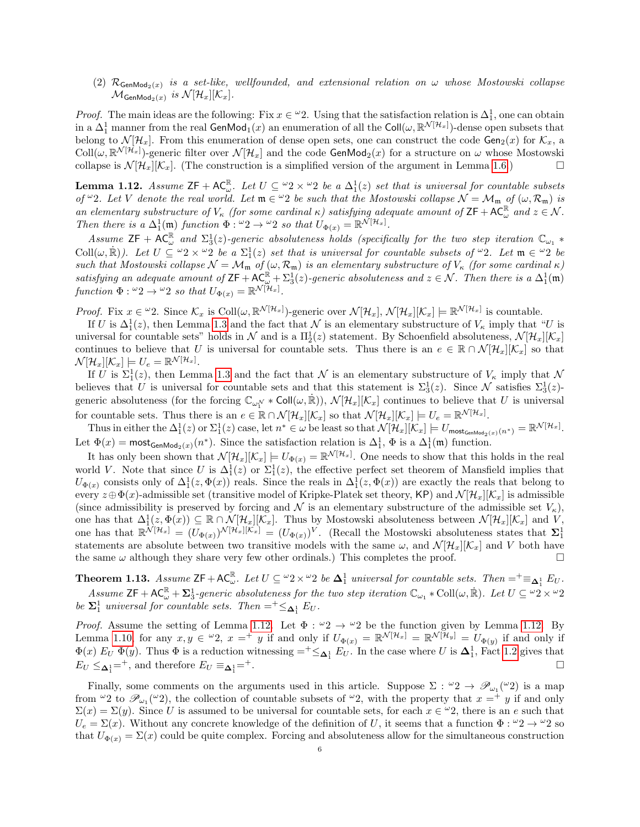(2)  $\mathcal{R}_{\mathsf{GenMod}_2(x)}$  is a set-like, wellfounded, and extensional relation on  $\omega$  whose Mostowski collapse  $\mathcal{M}_{\mathsf{GenMod}_2(x)}$  is  $\mathcal{N}[\mathcal{H}_x][\mathcal{K}_x].$ 

*Proof.* The main ideas are the following: Fix  $x \in \mathcal{L}2$ . Using that the satisfaction relation is  $\Delta_1^1$ , one can obtain in a  $\Delta^1_1$  manner from the real GenMod<sub>1</sub>(*x*) an enumeration of all the Coll( $\omega, \mathbb{R}^{\mathcal{N}[\mathcal{H}_x]}$ )-dense open subsets that belong to  $\mathcal{N}[\mathcal{H}_x]$ . From this enumeration of dense open sets, one can construct the code  $\mathsf{Gen}_2(x)$  for  $\mathcal{K}_x$ , a  $\text{Coll}(\omega, \mathbb{R}^{\mathcal{N}[\mathcal{H}_x]})$ -generic filter over  $\mathcal{N}[\mathcal{H}_x]$  and the code GenMod<sub>2</sub>(x) for a structure on  $\omega$  whose Mostowski collapse is  $\mathcal{N}[\mathcal{H}_x][\mathcal{K}_x]$ . (The construction is a simplified version of the argument in Lemma [1.6.](#page-3-0))

<span id="page-5-0"></span>**Lemma 1.12.** Assume  $ZF + AC_{\omega}^{\mathbb{R}}$ . Let  $U \subseteq {}^{\omega}2 \times {}^{\omega}2$  be a  $\Delta_1^1(z)$  set that is universal for countable subsets of  $\omega_2$ . Let V denote the real world. Let  $\mathfrak{m} \in \omega_2$  be such that the Mostowski collapse  $\mathcal{N} = \mathcal{M}_{\mathfrak{m}}$  of  $(\omega, \mathcal{R}_{\mathfrak{m}})$  is an elementary substructure of  $V_{\kappa}$  (for some cardinal  $\kappa$ ) satisfying adequate amount of  $ZF + AC_{\omega}^{\mathbb{R}}$  and  $z \in \mathcal{N}$ . Then there is a  $\Delta_1^1(\mathfrak{m})$  function  $\Phi: {}^{\omega}2 \to {}^{\omega}2$  so that  $U_{\Phi(x)} = \mathbb{R}^{\mathcal{N}[\mathcal{H}_x]}$ .

Assume  $ZF + AC^{\mathbb{R}}_{\omega}$  and  $\Sigma_3^1(z)$ -generic absoluteness holds (specifically for the two step iteration  $\mathbb{C}_{\omega_1}$  \* Coll $(\omega, \mathbb{R})$ ). Let  $U \subseteq \omega_2 \times \omega_2$  be a  $\Sigma_1^1(z)$  set that is universal for countable subsets of  $\omega_2$ . Let  $\mathfrak{m} \in \omega_2$  be such that Mostowski collapse  $\mathcal{N} = \mathcal{M}_{m}$  of  $(\omega, \mathcal{R}_{m})$  is an elementary substructure of  $V_{\kappa}$  (for some cardinal  $\kappa$ ) satisfying an adequate amount of  $ZF + AC_{\omega}^{\mathbb{R}} + \Sigma_3^{\mathbb{I}}(z)$ -generic absoluteness and  $z \in \mathcal{N}$ . Then there is a  $\Delta_1^1(\mathfrak{m})$ function  $\Phi: {}^{\omega}2 \to {}^{\omega}2$  so that  $U_{\Phi(x)} = \mathbb{R}^{\mathcal{N}[\mathcal{H}_x]}$ .

*Proof.* Fix  $x \in \omega_2$ . Since  $\mathcal{K}_x$  is Coll $(\omega, \mathbb{R}^{\mathcal{N}[\mathcal{H}_x]})$ -generic over  $\mathcal{N}[\mathcal{H}_x], \mathcal{N}[\mathcal{H}_x][\mathcal{K}_x] \models \mathbb{R}^{\mathcal{N}[\mathcal{H}_x]}$  is countable.

If U is  $\Delta_1^1(z)$ , then Lemma [1.3](#page-2-0) and the fact that N is an elementary substructure of  $V_\kappa$  imply that "U is universal for countable sets" holds in  $\mathcal N$  and is a  $\Pi_2^1(z)$  statement. By Schoenfield absoluteness,  $\mathcal N[\mathcal H_x][\mathcal K_x]$ continues to believe that U is universal for countable sets. Thus there is an  $e \in \mathbb{R} \cap \mathcal{N}[\mathcal{H}_x][\mathcal{K}_x]$  so that  $\mathcal{N}[\mathcal{H}_x][\mathcal{K}_x]\models U_e=\mathbb{R}^{\mathcal{N}[\mathcal{H}_x]}.$ 

If U is  $\Sigma_1^1(z)$ , then Lemma [1.3](#page-2-0) and the fact that N is an elementary substructure of  $V_\kappa$  imply that N believes that U is universal for countable sets and that this statement is  $\Sigma_3^1(z)$ . Since N satisfies  $\Sigma_3^1(z)$ generic absoluteness (for the forcing  $\mathbb{C}_{\omega_1^{\mathcal{N}}} * \text{Coll}(\omega, \dot{\mathbb{R}})$ ),  $\mathcal{N}[\mathcal{H}_x][\mathcal{K}_x]$  continues to believe that U is universal for countable sets. Thus there is an  $e \in \mathbb{R} \cap \mathcal{N}[\mathcal{H}_x][\mathcal{K}_x]$  so that  $\mathcal{N}[\mathcal{H}_x][\mathcal{K}_x] \models U_e = \mathbb{R}^{\mathcal{N}[\mathcal{H}_x]}$ .

Thus in either the  $\Delta_1^1(z)$  or  $\Sigma_1^1(z)$  case, let  $n^* \in \omega$  be least so that  $\mathcal{N}[\mathcal{H}_x][\mathcal{K}_x] \models U_{\text{mostGenMod}_2(x)}(n^*) = \mathbb{R}^{\mathcal{N}[\mathcal{H}_x]}$ . Let  $\Phi(x) = \text{mostGenMod}_2(x)(n^*)$ . Since the satisfaction relation is  $\Delta_1^1$ ,  $\Phi$  is a  $\Delta_1^1(\mathfrak{m})$  function.

It has only been shown that  $\mathcal{N}[\mathcal{H}_x][\mathcal{K}_x] \models U_{\Phi(x)} = \mathbb{R}^{\mathcal{N}[\mathcal{H}_x]}$ . One needs to show that this holds in the real world V. Note that since U is  $\Delta_1^1(z)$  or  $\Sigma_1^1(z)$ , the effective perfect set theorem of Mansfield implies that  $U_{\Phi(x)}$  consists only of  $\Delta_1^1(z, \Phi(x))$  reals. Since the reals in  $\Delta_1^1(z, \Phi(x))$  are exactly the reals that belong to every  $z \oplus \Phi(x)$ -admissible set (transitive model of Kripke-Platek set theory, KP) and  $\mathcal{N}[\mathcal{H}_x][\mathcal{K}_x]$  is admissible (since admissibility is preserved by forcing and N is an elementary substructure of the admissible set  $V_{\kappa}$ ), one has that  $\Delta_1^1(z, \Phi(x)) \subseteq \mathbb{R} \cap \mathcal{N}[\mathcal{H}_x][\mathcal{K}_x]$ . Thus by Mostowski absoluteness between  $\mathcal{N}[\mathcal{H}_x][\mathcal{K}_x]$  and  $V$ , one has that  $\mathbb{R}^{\bar{\mathcal{N}}[\mathcal{H}_x]} = (U_{\Phi(x)})^{\bar{\mathcal{N}}[\mathcal{H}_x][\bar{\mathcal{K}}_x]} = (U_{\Phi(x)})^V$ . (Recall the Mostowski absoluteness states that  $\Sigma_1^1$ statements are absolute between two transitive models with the same  $\omega$ , and  $\mathcal{N}[\mathcal{H}_x][\mathcal{K}_x]$  and V both have the same  $\omega$  although they share very few other ordinals.) This completes the proof.

**Theorem 1.13.** Assume  $\mathsf{ZF} + \mathsf{AC}_{\omega}^{\mathbb{R}}$ . Let  $U \subseteq {}^{\omega}2 \times {}^{\omega}2$  be  $\mathbf{\Delta}_1^1$  universal for countable sets. Then  $= {}^{\dagger} \equiv_{\mathbf{\Delta}_1^1} E_U$ . Assume  $\mathsf{ZF}+\mathsf{AC}^\mathbb{R}_\omega+\Sigma_3^1$ -generic absoluteness for the two step iteration  $\mathbb{C}_{\omega_1}*\mathrm{Coll}(\omega,\dot{\mathbb{R}})$ . Let  $U\subseteq {}^{\omega_2}\times {}^{\omega_2}$ be  $\Sigma_1^1$  universal for countable sets. Then  $=^+\leq_{\Delta_1^1} E_U$ .

*Proof.* Assume the setting of Lemma [1.12.](#page-5-0) Let  $\Phi : \omega_2 \to \omega_2$  be the function given by Lemma 1.12. By Lemma [1.10,](#page-4-1) for any  $x, y \in \mathcal{L}^2$ ,  $x =^+ y$  if and only if  $U_{\Phi(x)} = \mathbb{R}^{\mathcal{N}[\mathcal{H}_x]} = \mathbb{R}^{\mathcal{N}[\mathcal{H}_y]} = U_{\Phi(y)}$  if and only if  $\Phi(x) E_U \Phi(y)$ . Thus  $\Phi$  is a reduction witnessing  $=$ <sup>+</sup> $\leq_{\mathbf{\Delta}_1^1} E_U$ . In the case where U is  $\mathbf{\Delta}_1^1$ , Fact [1.2](#page-1-1) gives that  $E_U \leq \Delta_1^{1} = ^+$ , and therefore  $E_U \equiv \Delta_1^{1}$  $=$   $^+$ .

Finally, some comments on the arguments used in this article. Suppose  $\Sigma: \{0, 2, \dots, \emptyset_{\omega_1}(\omega_2)\}$  is a map from  $\omega_2$  to  $\mathscr{P}_{\omega_1}(\omega_2)$ , the collection of countable subsets of  $\omega_2$ , with the property that  $x =^+ y$  if and only  $\Sigma(x) = \Sigma(y)$ . Since U is assumed to be universal for countable sets, for each  $x \in \mathcal{L}$ , there is an e such that  $U_e = \Sigma(x)$ . Without any concrete knowledge of the definition of U, it seems that a function  $\Phi : \omega_2 \to \omega_2$  so that  $U_{\Phi(x)} = \Sigma(x)$  could be quite complex. Forcing and absoluteness allow for the simultaneous construction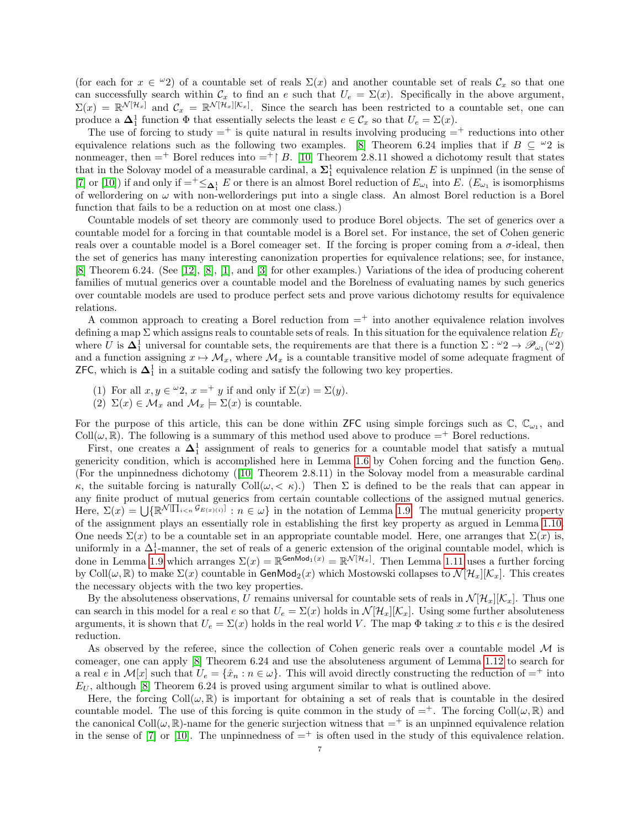(for each for  $x \in \omega_2$ ) of a countable set of reals  $\Sigma(x)$  and another countable set of reals  $\mathcal{C}_x$  so that one can successfully search within  $\mathcal{C}_x$  to find an e such that  $U_e = \Sigma(x)$ . Specifically in the above argument,  $\Sigma(x) = \mathbb{R}^{\mathcal{N}[\mathcal{H}_x]}$  and  $\mathcal{C}_x = \mathbb{R}^{\mathcal{N}[\mathcal{H}_x][\mathcal{K}_x]}$ . Since the search has been restricted to a countable set, one can produce a  $\Delta_1^1$  function  $\Phi$  that essentially selects the least  $e \in \mathcal{C}_x$  so that  $U_e = \Sigma(x)$ .

The use of forcing to study  $=$ <sup>+</sup> is quite natural in results involving producing  $=$ <sup>+</sup> reductions into other equivalence relations such as the following two examples. [\[8\]](#page-7-6) Theorem 6.24 implies that if  $B \subseteq {}^{\omega}2$  is nonmeager, then  $=$ <sup>+</sup> Borel reduces into  $=$ <sup>+</sup> B. [\[10\]](#page-7-5) Theorem 2.8.11 showed a dichotomy result that states that in the Solovay model of a measurable cardinal, a  $\Sigma_1^1$  equivalence relation E is unpinned (in the sense of [\[7\]](#page-7-7) or [\[10\]](#page-7-5)) if and only if  $=^+\leq_{\pmb{\Delta}_1^1} E$  or there is an almost Borel reduction of  $E_{\omega_1}$  into E.  $(E_{\omega_1}$  is isomorphisms of wellordering on  $\omega$  with non-wellorderings put into a single class. An almost Borel reduction is a Borel function that fails to be a reduction on at most one class.)

Countable models of set theory are commonly used to produce Borel objects. The set of generics over a countable model for a forcing in that countable model is a Borel set. For instance, the set of Cohen generic reals over a countable model is a Borel comeager set. If the forcing is proper coming from a  $\sigma$ -ideal, then the set of generics has many interesting canonization properties for equivalence relations; see, for instance, [\[8\]](#page-7-6) Theorem 6.24. (See [\[12\]](#page-7-8), [\[8\]](#page-7-6), [\[1\]](#page-7-9), and [\[3\]](#page-7-10) for other examples.) Variations of the idea of producing coherent families of mutual generics over a countable model and the Borelness of evaluating names by such generics over countable models are used to produce perfect sets and prove various dichotomy results for equivalence relations.

A common approach to creating a Borel reduction from  $=$ <sup>+</sup> into another equivalence relation involves defining a map  $\Sigma$  which assigns reals to countable sets of reals. In this situation for the equivalence relation  $E_U$ where U is  $\Delta_1^1$  universal for countable sets, the requirements are that there is a function  $\Sigma: {}^{\omega}2 \to \mathscr{P}_{\omega_1}({}^{\omega}2)$ and a function assigning  $x \mapsto M_x$ , where  $\mathcal{M}_x$  is a countable transitive model of some adequate fragment of **ZFC**, which is  $\Delta_1^1$  in a suitable coding and satisfy the following two key properties.

- (1) For all  $x, y \in {}^{\omega}2$ ,  $x = {}^+ y$  if and only if  $\Sigma(x) = \Sigma(y)$ .
- (2)  $\Sigma(x) \in \mathcal{M}_x$  and  $\mathcal{M}_x \models \Sigma(x)$  is countable.

For the purpose of this article, this can be done within **ZFC** using simple forcings such as  $\mathbb{C}$ ,  $\mathbb{C}_{\omega_1}$ , and Coll $(\omega, \mathbb{R})$ . The following is a summary of this method used above to produce  $=$ <sup>+</sup> Borel reductions.

First, one creates a  $\Delta_1^1$  assignment of reals to generics for a countable model that satisfy a mutual genericity condition, which is accomplished here in Lemma [1.6](#page-3-0) by Cohen forcing and the function  $Gen_0$ . (For the unpinnedness dichotomy ([\[10\]](#page-7-5) Theorem 2.8.11) in the Solovay model from a measurable cardinal κ, the suitable forcing is naturally Coll(ω, < κ).) Then Σ is defined to be the reals that can appear in any finite product of mutual generics from certain countable collections of the assigned mutual generics. Here,  $\Sigma(x) = \bigcup \{ \mathbb{R}^{\mathcal{N}}[\prod_{i \leq n} \mathcal{G}_{E(x)(i)}] : n \in \omega \}$  in the notation of Lemma [1.9.](#page-4-0) The mutual genericity property of the assignment plays an essentially role in establishing the first key property as argued in Lemma [1.10.](#page-4-1) One needs  $\Sigma(x)$  to be a countable set in an appropriate countable model. Here, one arranges that  $\Sigma(x)$  is, uniformly in a  $\Delta_1^1$ -manner, the set of reals of a generic extension of the original countable model, which is done in Lemma [1.9](#page-4-0) which arranges  $\Sigma(x) = \mathbb{R}^{\mathsf{GenMod}_1(x)} = \mathbb{R}^{\mathcal{N}[\mathcal{H}_x]}$ . Then Lemma [1.11](#page-4-2) uses a further forcing by Coll $(\omega, \mathbb{R})$  to make  $\Sigma(x)$  countable in GenMod<sub>2</sub> $(x)$  which Mostowski collapses to  $\mathcal{N}[\mathcal{H}_x][\mathcal{K}_x]$ . This creates the necessary objects with the two key properties.

By the absoluteness observations, U remains universal for countable sets of reals in  $\mathcal{N}[\mathcal{H}_x][\mathcal{K}_x]$ . Thus one can search in this model for a real e so that  $U_e = \Sigma(x)$  holds in  $\mathcal{N}[\mathcal{H}_x][\mathcal{K}_x]$ . Using some further absoluteness arguments, it is shown that  $U_e = \Sigma(x)$  holds in the real world V. The map  $\Phi$  taking x to this e is the desired reduction.

As observed by the referee, since the collection of Cohen generic reals over a countable model  $\mathcal M$  is comeager, one can apply [\[8\]](#page-7-6) Theorem 6.24 and use the absoluteness argument of Lemma [1.12](#page-5-0) to search for a real e in  $\mathcal{M}[x]$  such that  $U_e = \{\hat{x}_n : n \in \omega\}$ . This will avoid directly constructing the reduction of  $=^+$  into  $E_U$ , although [\[8\]](#page-7-6) Theorem 6.24 is proved using argument similar to what is outlined above.

Here, the forcing  $Coll(\omega, \mathbb{R})$  is important for obtaining a set of reals that is countable in the desired countable model. The use of this forcing is quite common in the study of  $=^+$ . The forcing Coll $(\omega, \mathbb{R})$  and the canonical  $Coll(\omega, \mathbb{R})$ -name for the generic surjection witness that  $=^+$  is an unpinned equivalence relation in the sense of [\[7\]](#page-7-7) or [\[10\]](#page-7-5). The unpinnedness of  $=$ <sup>+</sup> is often used in the study of this equivalence relation.